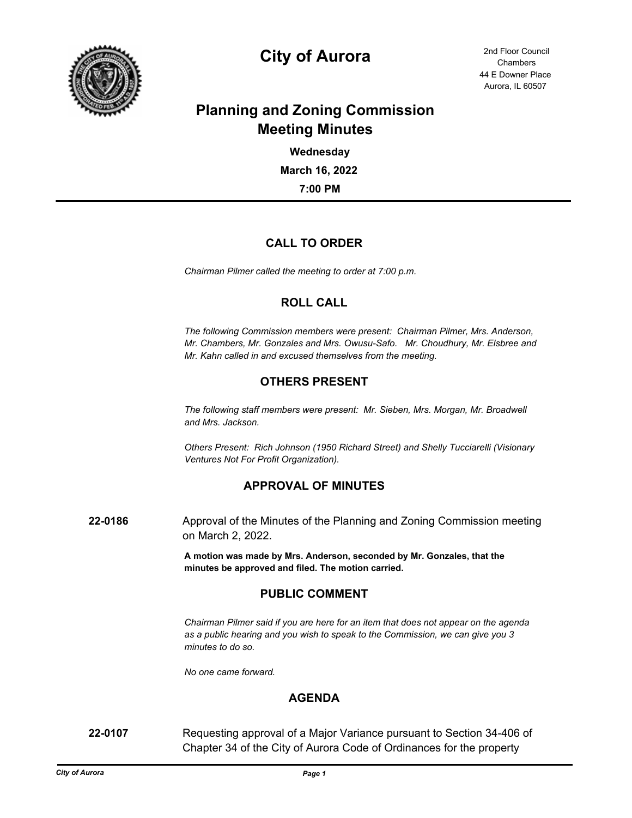

# **City of Aurora** 2nd Floor Council

44 E Downer Place Aurora, IL 60507 **Chambers** 

# **Planning and Zoning Commission Meeting Minutes**

**7:00 PM March 16, 2022 Wednesday**

# **CALL TO ORDER**

*Chairman Pilmer called the meeting to order at 7:00 p.m.*

#### **ROLL CALL**

*The following Commission members were present: Chairman Pilmer, Mrs. Anderson, Mr. Chambers, Mr. Gonzales and Mrs. Owusu-Safo. Mr. Choudhury, Mr. Elsbree and Mr. Kahn called in and excused themselves from the meeting.*

# **OTHERS PRESENT**

*The following staff members were present: Mr. Sieben, Mrs. Morgan, Mr. Broadwell and Mrs. Jackson.*

*Others Present: Rich Johnson (1950 Richard Street) and Shelly Tucciarelli (Visionary Ventures Not For Profit Organization).*

# **APPROVAL OF MINUTES**

**22-0186** Approval of the Minutes of the Planning and Zoning Commission meeting on March 2, 2022.

> **A motion was made by Mrs. Anderson, seconded by Mr. Gonzales, that the minutes be approved and filed. The motion carried.**

#### **PUBLIC COMMENT**

*Chairman Pilmer said if you are here for an item that does not appear on the agenda as a public hearing and you wish to speak to the Commission, we can give you 3 minutes to do so.*

*No one came forward.*

#### **AGENDA**

**22-0107** Requesting approval of a Major Variance pursuant to Section 34-406 of Chapter 34 of the City of Aurora Code of Ordinances for the property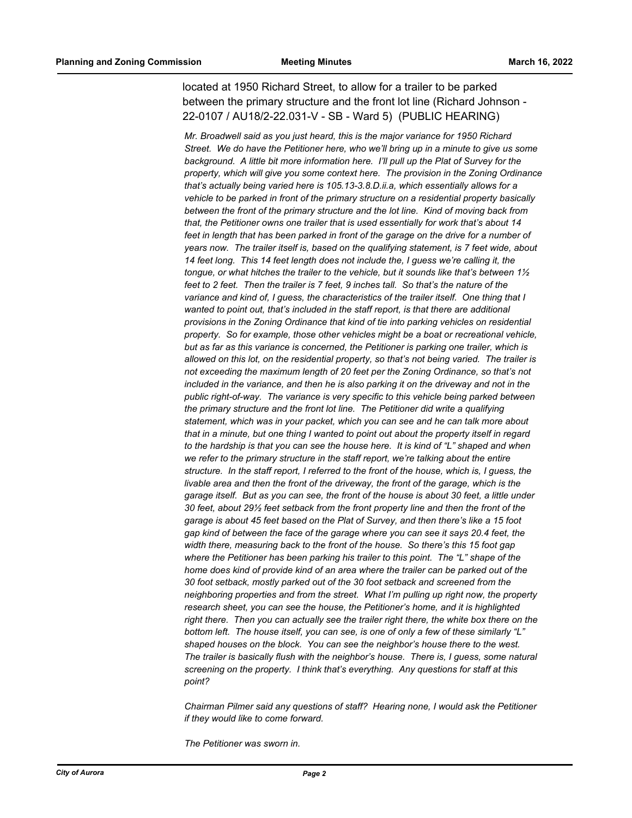located at 1950 Richard Street, to allow for a trailer to be parked between the primary structure and the front lot line (Richard Johnson - 22-0107 / AU18/2-22.031-V - SB - Ward 5) (PUBLIC HEARING)

*Mr. Broadwell said as you just heard, this is the major variance for 1950 Richard Street. We do have the Petitioner here, who we'll bring up in a minute to give us some background. A little bit more information here. I'll pull up the Plat of Survey for the property, which will give you some context here. The provision in the Zoning Ordinance that's actually being varied here is 105.13-3.8.D.ii.a, which essentially allows for a vehicle to be parked in front of the primary structure on a residential property basically between the front of the primary structure and the lot line. Kind of moving back from that, the Petitioner owns one trailer that is used essentially for work that's about 14 feet in length that has been parked in front of the garage on the drive for a number of years now. The trailer itself is, based on the qualifying statement, is 7 feet wide, about 14 feet long. This 14 feet length does not include the, I guess we're calling it, the tongue, or what hitches the trailer to the vehicle, but it sounds like that's between 1½ feet to 2 feet. Then the trailer is 7 feet, 9 inches tall. So that's the nature of the variance and kind of, I guess, the characteristics of the trailer itself. One thing that I wanted to point out, that's included in the staff report, is that there are additional provisions in the Zoning Ordinance that kind of tie into parking vehicles on residential property. So for example, those other vehicles might be a boat or recreational vehicle, but as far as this variance is concerned, the Petitioner is parking one trailer, which is allowed on this lot, on the residential property, so that's not being varied. The trailer is not exceeding the maximum length of 20 feet per the Zoning Ordinance, so that's not included in the variance, and then he is also parking it on the driveway and not in the public right-of-way. The variance is very specific to this vehicle being parked between the primary structure and the front lot line. The Petitioner did write a qualifying statement, which was in your packet, which you can see and he can talk more about that in a minute, but one thing I wanted to point out about the property itself in regard to the hardship is that you can see the house here. It is kind of "L" shaped and when we refer to the primary structure in the staff report, we're talking about the entire structure. In the staff report, I referred to the front of the house, which is, I guess, the livable area and then the front of the driveway, the front of the garage, which is the garage itself. But as you can see, the front of the house is about 30 feet, a little under 30 feet, about 29½ feet setback from the front property line and then the front of the garage is about 45 feet based on the Plat of Survey, and then there's like a 15 foot gap kind of between the face of the garage where you can see it says 20.4 feet, the width there, measuring back to the front of the house. So there's this 15 foot gap where the Petitioner has been parking his trailer to this point. The "L" shape of the home does kind of provide kind of an area where the trailer can be parked out of the 30 foot setback, mostly parked out of the 30 foot setback and screened from the neighboring properties and from the street. What I'm pulling up right now, the property research sheet, you can see the house, the Petitioner's home, and it is highlighted right there. Then you can actually see the trailer right there, the white box there on the bottom left. The house itself, you can see, is one of only a few of these similarly "L" shaped houses on the block. You can see the neighbor's house there to the west. The trailer is basically flush with the neighbor's house. There is, I guess, some natural screening on the property. I think that's everything. Any questions for staff at this point?*

*Chairman Pilmer said any questions of staff? Hearing none, I would ask the Petitioner if they would like to come forward.*

*The Petitioner was sworn in.*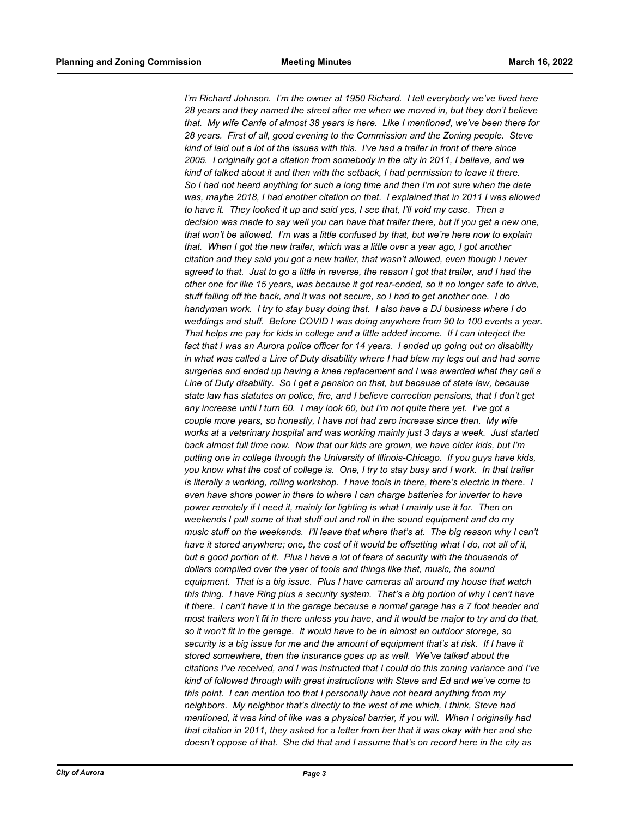I'm Richard Johnson. I'm the owner at 1950 Richard. I tell everybody we've lived here *28 years and they named the street after me when we moved in, but they don't believe that. My wife Carrie of almost 38 years is here. Like I mentioned, we've been there for 28 years. First of all, good evening to the Commission and the Zoning people. Steve kind of laid out a lot of the issues with this. I've had a trailer in front of there since 2005. I originally got a citation from somebody in the city in 2011, I believe, and we kind of talked about it and then with the setback, I had permission to leave it there. So I had not heard anything for such a long time and then I'm not sure when the date was, maybe 2018, I had another citation on that. I explained that in 2011 I was allowed to have it. They looked it up and said yes, I see that, I'll void my case. Then a decision was made to say well you can have that trailer there, but if you get a new one, that won't be allowed. I'm was a little confused by that, but we're here now to explain that. When I got the new trailer, which was a little over a year ago, I got another citation and they said you got a new trailer, that wasn't allowed, even though I never agreed to that. Just to go a little in reverse, the reason I got that trailer, and I had the other one for like 15 years, was because it got rear-ended, so it no longer safe to drive, stuff falling off the back, and it was not secure, so I had to get another one. I do handyman work. I try to stay busy doing that. I also have a DJ business where I do weddings and stuff. Before COVID I was doing anywhere from 90 to 100 events a year. That helps me pay for kids in college and a little added income. If I can interject the fact that I was an Aurora police officer for 14 years. I ended up going out on disability in what was called a Line of Duty disability where I had blew my legs out and had some surgeries and ended up having a knee replacement and I was awarded what they call a Line of Duty disability. So I get a pension on that, but because of state law, because state law has statutes on police, fire, and I believe correction pensions, that I don't get any increase until I turn 60. I may look 60, but I'm not quite there yet. I've got a couple more years, so honestly, I have not had zero increase since then. My wife works at a veterinary hospital and was working mainly just 3 days a week. Just started back almost full time now. Now that our kids are grown, we have older kids, but I'm putting one in college through the University of Illinois-Chicago. If you guys have kids, you know what the cost of college is. One, I try to stay busy and I work. In that trailer is literally a working, rolling workshop. I have tools in there, there's electric in there. I even have shore power in there to where I can charge batteries for inverter to have power remotely if I need it, mainly for lighting is what I mainly use it for. Then on weekends I pull some of that stuff out and roll in the sound equipment and do my music stuff on the weekends. I'll leave that where that's at. The big reason why I can't have it stored anywhere; one, the cost of it would be offsetting what I do, not all of it, but a good portion of it. Plus I have a lot of fears of security with the thousands of dollars compiled over the year of tools and things like that, music, the sound equipment. That is a big issue. Plus I have cameras all around my house that watch this thing. I have Ring plus a security system. That's a big portion of why I can't have it there. I can't have it in the garage because a normal garage has a 7 foot header and most trailers won't fit in there unless you have, and it would be major to try and do that, so it won't fit in the garage. It would have to be in almost an outdoor storage, so security is a big issue for me and the amount of equipment that's at risk. If I have it stored somewhere, then the insurance goes up as well. We've talked about the citations I've received, and I was instructed that I could do this zoning variance and I've kind of followed through with great instructions with Steve and Ed and we've come to this point. I can mention too that I personally have not heard anything from my neighbors. My neighbor that's directly to the west of me which, I think, Steve had mentioned, it was kind of like was a physical barrier, if you will. When I originally had that citation in 2011, they asked for a letter from her that it was okay with her and she doesn't oppose of that. She did that and I assume that's on record here in the city as*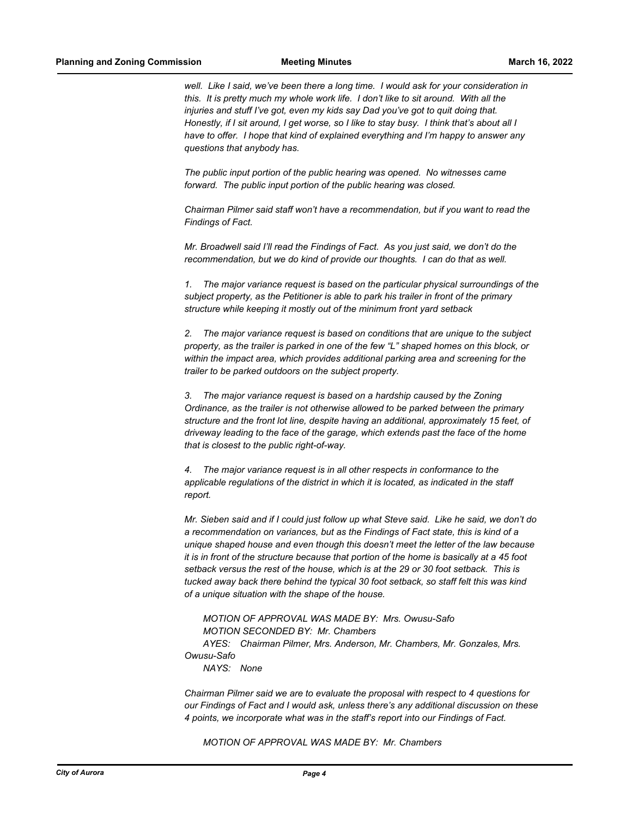well. Like I said, we've been there a long time. I would ask for your consideration in *this. It is pretty much my whole work life. I don't like to sit around. With all the injuries and stuff I've got, even my kids say Dad you've got to quit doing that. Honestly, if I sit around, I get worse, so I like to stay busy. I think that's about all I have to offer. I hope that kind of explained everything and I'm happy to answer any questions that anybody has.*

*The public input portion of the public hearing was opened. No witnesses came forward. The public input portion of the public hearing was closed.*

*Chairman Pilmer said staff won't have a recommendation, but if you want to read the Findings of Fact.*

*Mr. Broadwell said I'll read the Findings of Fact. As you just said, we don't do the recommendation, but we do kind of provide our thoughts. I can do that as well.* 

*1. The major variance request is based on the particular physical surroundings of the subject property, as the Petitioner is able to park his trailer in front of the primary structure while keeping it mostly out of the minimum front yard setback*

*2. The major variance request is based on conditions that are unique to the subject property, as the trailer is parked in one of the few "L" shaped homes on this block, or within the impact area, which provides additional parking area and screening for the trailer to be parked outdoors on the subject property.* 

*3. The major variance request is based on a hardship caused by the Zoning Ordinance, as the trailer is not otherwise allowed to be parked between the primary structure and the front lot line, despite having an additional, approximately 15 feet, of driveway leading to the face of the garage, which extends past the face of the home that is closest to the public right-of-way.* 

*4. The major variance request is in all other respects in conformance to the applicable regulations of the district in which it is located, as indicated in the staff report.*

*Mr. Sieben said and if I could just follow up what Steve said. Like he said, we don't do a recommendation on variances, but as the Findings of Fact state, this is kind of a unique shaped house and even though this doesn't meet the letter of the law because it is in front of the structure because that portion of the home is basically at a 45 foot setback versus the rest of the house, which is at the 29 or 30 foot setback. This is tucked away back there behind the typical 30 foot setback, so staff felt this was kind of a unique situation with the shape of the house.*

*MOTION OF APPROVAL WAS MADE BY: Mrs. Owusu-Safo MOTION SECONDED BY: Mr. Chambers AYES: Chairman Pilmer, Mrs. Anderson, Mr. Chambers, Mr. Gonzales, Mrs. Owusu-Safo NAYS: None*

*Chairman Pilmer said we are to evaluate the proposal with respect to 4 questions for our Findings of Fact and I would ask, unless there's any additional discussion on these 4 points, we incorporate what was in the staff's report into our Findings of Fact.*

*MOTION OF APPROVAL WAS MADE BY: Mr. Chambers*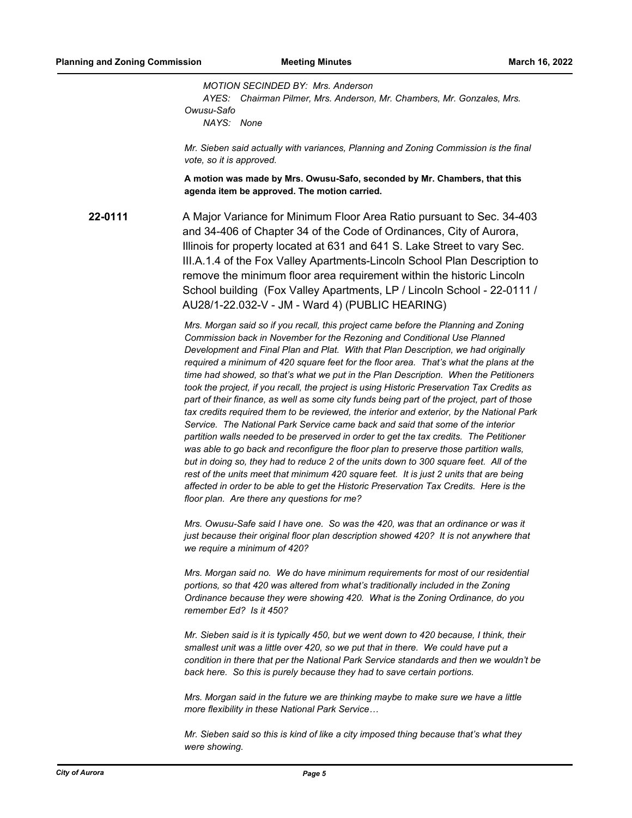*MOTION SECINDED BY: Mrs. Anderson AYES: Chairman Pilmer, Mrs. Anderson, Mr. Chambers, Mr. Gonzales, Mrs. Owusu-Safo NAYS: None*

*Mr. Sieben said actually with variances, Planning and Zoning Commission is the final vote, so it is approved.*

**A motion was made by Mrs. Owusu-Safo, seconded by Mr. Chambers, that this agenda item be approved. The motion carried.**

**22-0111** A Major Variance for Minimum Floor Area Ratio pursuant to Sec. 34-403 and 34-406 of Chapter 34 of the Code of Ordinances, City of Aurora, Illinois for property located at 631 and 641 S. Lake Street to vary Sec. III.A.1.4 of the Fox Valley Apartments-Lincoln School Plan Description to remove the minimum floor area requirement within the historic Lincoln School building (Fox Valley Apartments, LP / Lincoln School - 22-0111 / AU28/1-22.032-V - JM - Ward 4) (PUBLIC HEARING)

> *Mrs. Morgan said so if you recall, this project came before the Planning and Zoning Commission back in November for the Rezoning and Conditional Use Planned Development and Final Plan and Plat. With that Plan Description, we had originally required a minimum of 420 square feet for the floor area. That's what the plans at the time had showed, so that's what we put in the Plan Description. When the Petitioners took the project, if you recall, the project is using Historic Preservation Tax Credits as part of their finance, as well as some city funds being part of the project, part of those tax credits required them to be reviewed, the interior and exterior, by the National Park Service. The National Park Service came back and said that some of the interior partition walls needed to be preserved in order to get the tax credits. The Petitioner was able to go back and reconfigure the floor plan to preserve those partition walls, but in doing so, they had to reduce 2 of the units down to 300 square feet. All of the rest of the units meet that minimum 420 square feet. It is just 2 units that are being affected in order to be able to get the Historic Preservation Tax Credits. Here is the floor plan. Are there any questions for me?*

*Mrs. Owusu-Safe said I have one. So was the 420, was that an ordinance or was it just because their original floor plan description showed 420? It is not anywhere that we require a minimum of 420?*

*Mrs. Morgan said no. We do have minimum requirements for most of our residential portions, so that 420 was altered from what's traditionally included in the Zoning Ordinance because they were showing 420. What is the Zoning Ordinance, do you remember Ed? Is it 450?*

*Mr. Sieben said is it is typically 450, but we went down to 420 because, I think, their smallest unit was a little over 420, so we put that in there. We could have put a condition in there that per the National Park Service standards and then we wouldn't be back here. So this is purely because they had to save certain portions.*

*Mrs. Morgan said in the future we are thinking maybe to make sure we have a little more flexibility in these National Park Service…*

*Mr. Sieben said so this is kind of like a city imposed thing because that's what they were showing.*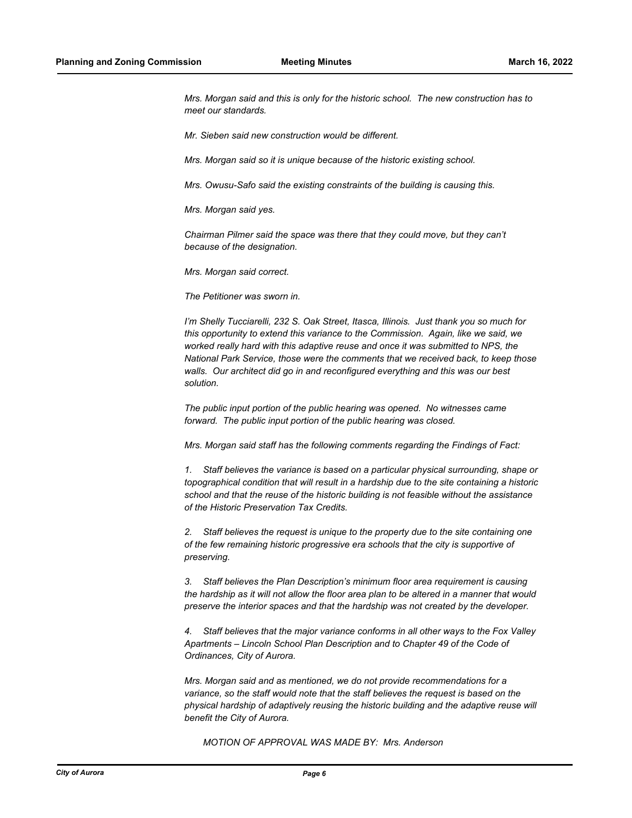*Mrs. Morgan said and this is only for the historic school. The new construction has to meet our standards.*

*Mr. Sieben said new construction would be different.*

*Mrs. Morgan said so it is unique because of the historic existing school.*

*Mrs. Owusu-Safo said the existing constraints of the building is causing this.*

*Mrs. Morgan said yes.*

*Chairman Pilmer said the space was there that they could move, but they can't because of the designation.*

*Mrs. Morgan said correct.*

*The Petitioner was sworn in.*

*I'm Shelly Tucciarelli, 232 S. Oak Street, Itasca, Illinois. Just thank you so much for this opportunity to extend this variance to the Commission. Again, like we said, we worked really hard with this adaptive reuse and once it was submitted to NPS, the National Park Service, those were the comments that we received back, to keep those walls. Our architect did go in and reconfigured everything and this was our best solution.*

*The public input portion of the public hearing was opened. No witnesses came forward. The public input portion of the public hearing was closed.*

*Mrs. Morgan said staff has the following comments regarding the Findings of Fact:*

*1. Staff believes the variance is based on a particular physical surrounding, shape or topographical condition that will result in a hardship due to the site containing a historic school and that the reuse of the historic building is not feasible without the assistance of the Historic Preservation Tax Credits.*

*2. Staff believes the request is unique to the property due to the site containing one of the few remaining historic progressive era schools that the city is supportive of preserving.*

*3. Staff believes the Plan Description's minimum floor area requirement is causing the hardship as it will not allow the floor area plan to be altered in a manner that would preserve the interior spaces and that the hardship was not created by the developer.*

*4. Staff believes that the major variance conforms in all other ways to the Fox Valley Apartments – Lincoln School Plan Description and to Chapter 49 of the Code of Ordinances, City of Aurora.*

*Mrs. Morgan said and as mentioned, we do not provide recommendations for a variance, so the staff would note that the staff believes the request is based on the physical hardship of adaptively reusing the historic building and the adaptive reuse will benefit the City of Aurora.*

*MOTION OF APPROVAL WAS MADE BY: Mrs. Anderson*